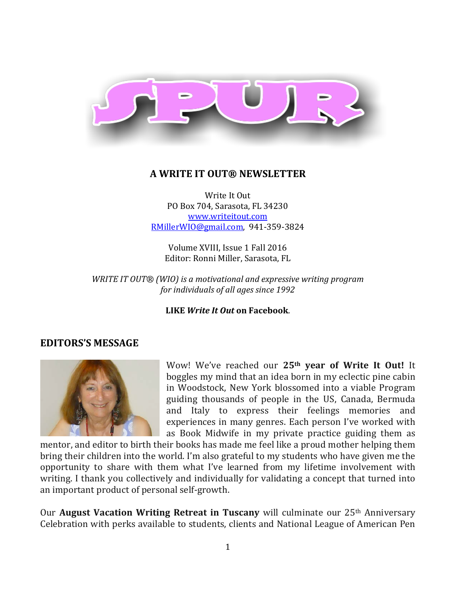

#### **A WRITE IT OUT® NEWSLETTER**

Write It Out PO Box 704, Sarasota, FL 34230 [www.writeitout.com](http://www.writeitout.com/) [RMillerWIO@gmail.com,](mailto:RMillerWIO@gmail.com) 941-359-3824

Volume XVIII, Issue 1 Fall 2016 Editor: Ronni Miller, Sarasota, FL

*WRITE IT OUT® (WIO) is a motivational and expressive writing program for individuals of all ages since 1992*

**LIKE** *Write It Out* **on Facebook**.

### **EDITORS'S MESSAGE**



Wow! We've reached our **25th year of Write It Out!** It boggles my mind that an idea born in my eclectic pine cabin in Woodstock, New York blossomed into a viable Program guiding thousands of people in the US, Canada, Bermuda and Italy to express their feelings memories and experiences in many genres. Each person I've worked with as Book Midwife in my private practice guiding them as

mentor, and editor to birth their books has made me feel like a proud mother helping them bring their children into the world. I'm also grateful to my students who have given me the opportunity to share with them what I've learned from my lifetime involvement with writing. I thank you collectively and individually for validating a concept that turned into an important product of personal self-growth.

Our **August Vacation Writing Retreat in Tuscany** will culminate our 25th Anniversary Celebration with perks available to students, clients and National League of American Pen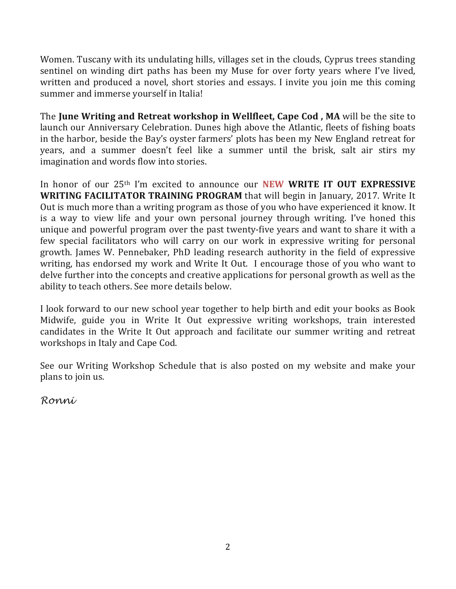Women. Tuscany with its undulating hills, villages set in the clouds, Cyprus trees standing sentinel on winding dirt paths has been my Muse for over forty years where I've lived, written and produced a novel, short stories and essays. I invite you join me this coming summer and immerse yourself in Italia!

The **June Writing and Retreat workshop in Wellfleet, Cape Cod , MA** will be the site to launch our Anniversary Celebration. Dunes high above the Atlantic, fleets of fishing boats in the harbor, beside the Bay's oyster farmers' plots has been my New England retreat for years, and a summer doesn't feel like a summer until the brisk, salt air stirs my imagination and words flow into stories.

In honor of our 25th I'm excited to announce our **NEW WRITE IT OUT EXPRESSIVE WRITING FACILITATOR TRAINING PROGRAM** that will begin in January, 2017. Write It Out is much more than a writing program as those of you who have experienced it know. It is a way to view life and your own personal journey through writing. I've honed this unique and powerful program over the past twenty-five years and want to share it with a few special facilitators who will carry on our work in expressive writing for personal growth. James W. Pennebaker, PhD leading research authority in the field of expressive writing, has endorsed my work and Write It Out. I encourage those of you who want to delve further into the concepts and creative applications for personal growth as well as the ability to teach others. See more details below.

I look forward to our new school year together to help birth and edit your books as Book Midwife, guide you in Write It Out expressive writing workshops, train interested candidates in the Write It Out approach and facilitate our summer writing and retreat workshops in Italy and Cape Cod.

See our Writing Workshop Schedule that is also posted on my website and make your plans to join us.

*Ronni*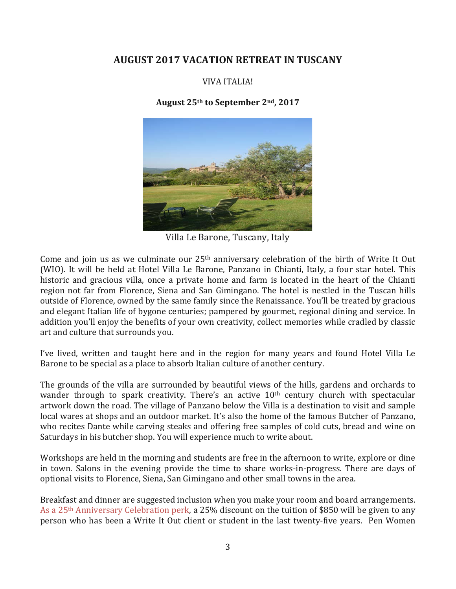# **AUGUST 2017 VACATION RETREAT IN TUSCANY**

### VIVA ITALIA!

#### **August 25th to September 2nd, 2017**



Villa Le Barone, Tuscany, Italy

Come and join us as we culminate our 25th anniversary celebration of the birth of Write It Out (WIO). It will be held at Hotel Villa Le Barone, Panzano in Chianti, Italy, a four star hotel. This historic and gracious villa, once a private home and farm is located in the heart of the Chianti region not far from Florence, Siena and San Gimingano. The hotel is nestled in the Tuscan hills outside of Florence, owned by the same family since the Renaissance. You'll be treated by gracious and elegant Italian life of bygone centuries; pampered by gourmet, regional dining and service. In addition you'll enjoy the benefits of your own creativity, collect memories while cradled by classic art and culture that surrounds you.

I've lived, written and taught here and in the region for many years and found Hotel Villa Le Barone to be special as a place to absorb Italian culture of another century.

The grounds of the villa are surrounded by beautiful views of the hills, gardens and orchards to wander through to spark creativity. There's an active 10<sup>th</sup> century church with spectacular artwork down the road. The village of Panzano below the Villa is a destination to visit and sample local wares at shops and an outdoor market. It's also the home of the famous Butcher of Panzano, who recites Dante while carving steaks and offering free samples of cold cuts, bread and wine on Saturdays in his butcher shop. You will experience much to write about.

Workshops are held in the morning and students are free in the afternoon to write, explore or dine in town. Salons in the evening provide the time to share works-in-progress. There are days of optional visits to Florence, Siena, San Gimingano and other small towns in the area.

Breakfast and dinner are suggested inclusion when you make your room and board arrangements. As a 25th Anniversary Celebration perk, a 25% discount on the tuition of \$850 will be given to any person who has been a Write It Out client or student in the last twenty-five years. Pen Women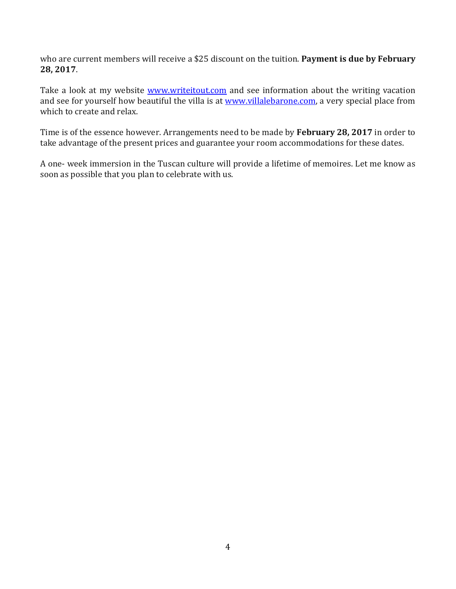who are current members will receive a \$25 discount on the tuition. **Payment is due by February 28, 2017**.

Take a look at my website **www.writeitout.com** and see information about the writing vacation and see for yourself how beautiful the villa is at [www.villalebarone.com,](http://www.villalebarone.com/) a very special place from which to create and relax.

Time is of the essence however. Arrangements need to be made by **February 28, 2017** in order to take advantage of the present prices and guarantee your room accommodations for these dates.

A one- week immersion in the Tuscan culture will provide a lifetime of memoires. Let me know as soon as possible that you plan to celebrate with us.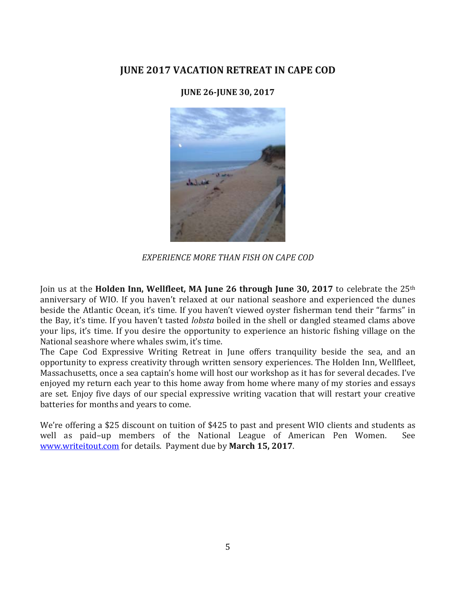# **JUNE 2017 VACATION RETREAT IN CAPE COD**

#### **JUNE 26-JUNE 30, 2017**



*EXPERIENCE MORE THAN FISH ON CAPE COD*

Join us at the **Holden Inn, Wellfleet, MA June 26 through June 30, 2017** to celebrate the 25th anniversary of WIO. If you haven't relaxed at our national seashore and experienced the dunes beside the Atlantic Ocean, it's time. If you haven't viewed oyster fisherman tend their "farms" in the Bay, it's time. If you haven't tasted *lobsta* boiled in the shell or dangled steamed clams above your lips, it's time. If you desire the opportunity to experience an historic fishing village on the National seashore where whales swim, it's time.

The Cape Cod Expressive Writing Retreat in June offers tranquility beside the sea, and an opportunity to express creativity through written sensory experiences. The Holden Inn, Wellfleet, Massachusetts, once a sea captain's home will host our workshop as it has for several decades. I've enjoyed my return each year to this home away from home where many of my stories and essays are set. Enjoy five days of our special expressive writing vacation that will restart your creative batteries for months and years to come.

We're offering a \$25 discount on tuition of \$425 to past and present WIO clients and students as<br>well as paid-up members of the National League of American Pen Women. See well as paid-up members of the National League of American Pen Women. [www.writeitout.com](http://www.writeitout.com/) for details. Payment due by **March 15, 2017**.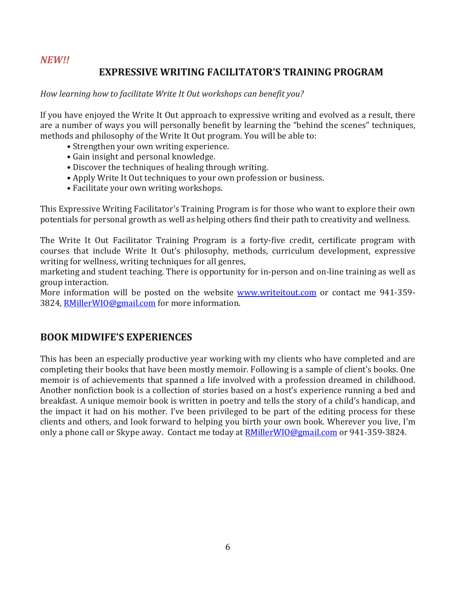#### *NEW!!*

# **EXPRESSIVE WRITING FACILITATOR'S TRAINING PROGRAM**

#### *How learning how to facilitate Write It Out workshops can benefit you?*

If you have enjoyed the Write It Out approach to expressive writing and evolved as a result, there are a number of ways you will personally benefit by learning the "behind the scenes" techniques, methods and philosophy of the Write It Out program. You will be able to:

- Strengthen your own writing experience.
- Gain insight and personal knowledge.
- Discover the techniques of healing through writing.
- Apply Write It Out techniques to your own profession or business.
- Facilitate your own writing workshops.

This Expressive Writing Facilitator's Training Program is for those who want to explore their own potentials for personal growth as well as helping others find their path to creativity and wellness.

The Write It Out Facilitator Training Program is a forty-five credit, certificate program with courses that include Write It Out's philosophy, methods, curriculum development, expressive writing for wellness, writing techniques for all genres,

marketing and student teaching. There is opportunity for in-person and on-line training as well as group interaction.

More information will be posted on the website [www.writeitout.com](http://www.writeitout.com/) or contact me 941-359- 3824, [RMillerWIO@gmail.com](mailto:RMillerWIO@gmail.com) for more information.

## **BOOK MIDWIFE'S EXPERIENCES**

This has been an especially productive year working with my clients who have completed and are completing their books that have been mostly memoir. Following is a sample of client's books. One memoir is of achievements that spanned a life involved with a profession dreamed in childhood. Another nonfiction book is a collection of stories based on a host's experience running a bed and breakfast. A unique memoir book is written in poetry and tells the story of a child's handicap, and the impact it had on his mother. I've been privileged to be part of the editing process for these clients and others, and look forward to helping you birth your own book. Wherever you live, I'm only a phone call or Skype away. Contact me today at **RMillerWIO@gmail.com** or 941-359-3824.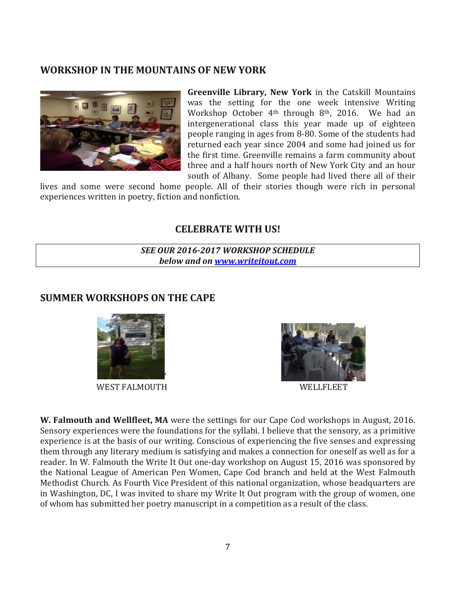## **WORKSHOP IN THE MOUNTAINS OF NEW YORK**



**Greenville Library, New York** in the Catskill Mountains was the setting for the one week intensive Writing Workshop October 4<sup>th</sup> through 8<sup>th</sup>, 2016. We had an intergenerational class this year made up of eighteen people ranging in ages from 8-80. Some of the students had returned each year since 2004 and some had joined us for the first time. Greenville remains a farm community about three and a half hours north of New York City and an hour south of Albany. Some people had lived there all of their

lives and some were second home people. All of their stories though were rich in personal experiences written in poetry, fiction and nonfiction.

### **CELEBRATE WITH US!**

*SEE OUR 2016-2017 WORKSHOP SCHEDULE below and on [www.writeitout.com](http://www.writeitout.com/)*

# **SUMMER WORKSHOPS ON THE CAPE**



WEST FALMOUTH WELLFLEET

'



**W. Falmouth and Wellfleet, MA** were the settings for our Cape Cod workshops in August, 2016. Sensory experiences were the foundations for the syllabi. I believe that the sensory, as a primitive experience is at the basis of our writing. Conscious of experiencing the five senses and expressing them through any literary medium is satisfying and makes a connection for oneself as well as for a reader. In W. Falmouth the Write It Out one-day workshop on August 15, 2016 was sponsored by the National League of American Pen Women, Cape Cod branch and held at the West Falmouth Methodist Church. As Fourth Vice President of this national organization, whose headquarters are in Washington, DC, I was invited to share my Write It Out program with the group of women, one of whom has submitted her poetry manuscript in a competition as a result of the class.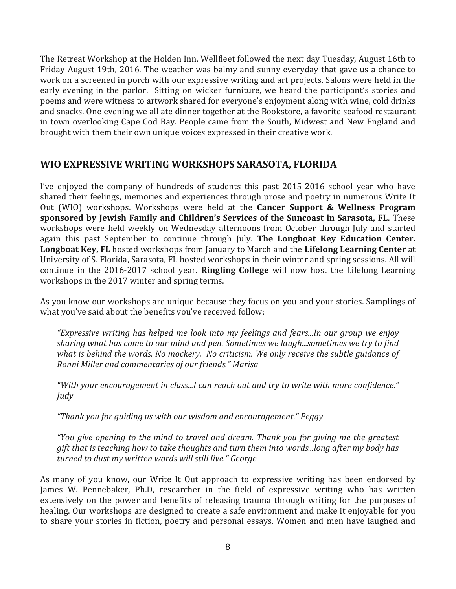The Retreat Workshop at the Holden Inn, Wellfleet followed the next day Tuesday, August 16th to Friday August 19th, 2016. The weather was balmy and sunny everyday that gave us a chance to work on a screened in porch with our expressive writing and art projects. Salons were held in the early evening in the parlor. Sitting on wicker furniture, we heard the participant's stories and poems and were witness to artwork shared for everyone's enjoyment along with wine, cold drinks and snacks. One evening we all ate dinner together at the Bookstore, a favorite seafood restaurant in town overlooking Cape Cod Bay. People came from the South, Midwest and New England and brought with them their own unique voices expressed in their creative work.

## **WIO EXPRESSIVE WRITING WORKSHOPS SARASOTA, FLORIDA**

I've enjoyed the company of hundreds of students this past 2015-2016 school year who have shared their feelings, memories and experiences through prose and poetry in numerous Write It Out (WIO) workshops. Workshops were held at the **Cancer Support & Wellness Program sponsored by Jewish Family and Children's Services of the Suncoast in Sarasota, FL.** These workshops were held weekly on Wednesday afternoons from October through July and started again this past September to continue through July. **The Longboat Key Education Center. Longboat Key, FL** hosted workshops from January to March and the **Lifelong Learning Center** at University of S. Florida, Sarasota, FL hosted workshops in their winter and spring sessions. All will continue in the 2016-2017 school year. **Ringling College** will now host the Lifelong Learning workshops in the 2017 winter and spring terms.

As you know our workshops are unique because they focus on you and your stories. Samplings of what you've said about the benefits you've received follow:

*"Expressive writing has helped me look into my feelings and fears...In our group we enjoy sharing what has come to our mind and pen. Sometimes we laugh...sometimes we try to find what is behind the words. No mockery. No criticism. We only receive the subtle guidance of Ronni Miller and commentaries of our friends." Marisa*

*"With your encouragement in class...I can reach out and try to write with more confidence." Judy*

*"Thank you for guiding us with our wisdom and encouragement." Peggy*

*"You give opening to the mind to travel and dream. Thank you for giving me the greatest gift that is teaching how to take thoughts and turn them into words...long after my body has turned to dust my written words will still live." George*

As many of you know, our Write It Out approach to expressive writing has been endorsed by James W. Pennebaker, Ph.D, researcher in the field of expressive writing who has written extensively on the power and benefits of releasing trauma through writing for the purposes of healing. Our workshops are designed to create a safe environment and make it enjoyable for you to share your stories in fiction, poetry and personal essays. Women and men have laughed and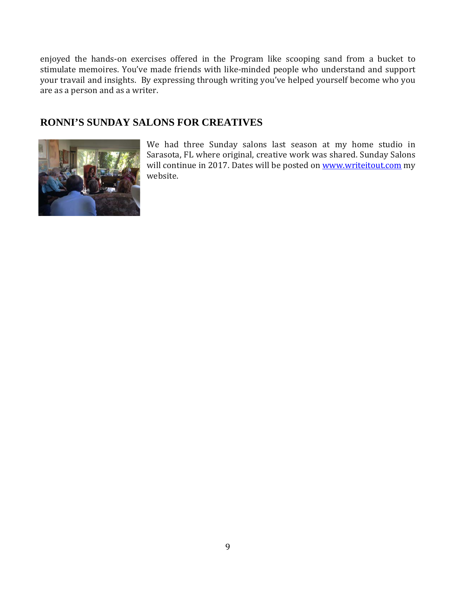enjoyed the hands-on exercises offered in the Program like scooping sand from a bucket to stimulate memoires. You've made friends with like-minded people who understand and support your travail and insights. By expressing through writing you've helped yourself become who you are as a person and as a writer.

## **RONNI'S SUNDAY SALONS FOR CREATIVES**



We had three Sunday salons last season at my home studio in Sarasota, FL where original, creative work was shared. Sunday Salons will continue in 2017. Dates will be posted on [www.writeitout.com](http://www.writeitout.com/) my website.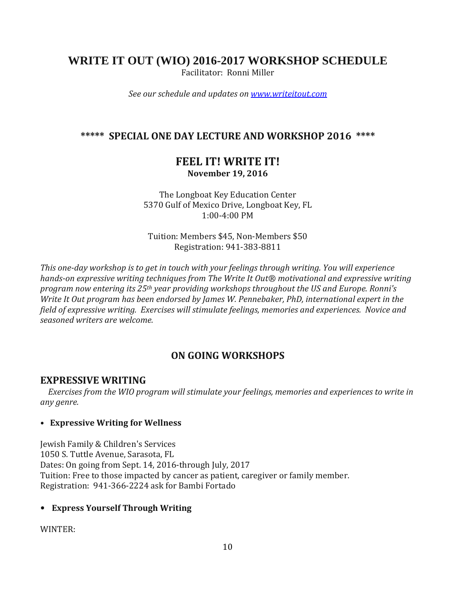# **WRITE IT OUT (WIO) 2016-2017 WORKSHOP SCHEDULE**

Facilitator: Ronni Miller

*See our schedule and updates on [www.writeitout.com](http://www.writeitout.com/)*

## **\*\*\*\*\* SPECIAL ONE DAY LECTURE AND WORKSHOP 2016 \*\*\*\***

# **FEEL IT! WRITE IT! November 19, 2016**

The Longboat Key Education Center 5370 Gulf of Mexico Drive, Longboat Key, FL 1:00-4:00 PM

Tuition: Members \$45, Non-Members \$50 Registration: 941-383-8811

*This one-day workshop is to get in touch with your feelings through writing. You will experience hands-on expressive writing techniques from The Write It Out® motivational and expressive writing program now entering its 25th year providing workshops throughout the US and Europe. Ronni's Write It Out program has been endorsed by James W. Pennebaker, PhD, international expert in the field of expressive writing. Exercises will stimulate feelings, memories and experiences. Novice and seasoned writers are welcome.*

# **ON GOING WORKSHOPS**

### **EXPRESSIVE WRITING**

 *Exercises from the WIO program will stimulate your feelings, memories and experiences to write in any genre.*

#### **• Expressive Writing for Wellness**

Jewish Family & Children's Services 1050 S. Tuttle Avenue, Sarasota, FL Dates: On going from Sept. 14, 2016-through July, 2017 Tuition: Free to those impacted by cancer as patient, caregiver or family member. Registration: 941-366-2224 ask for Bambi Fortado

### **• Express Yourself Through Writing**

WINTER: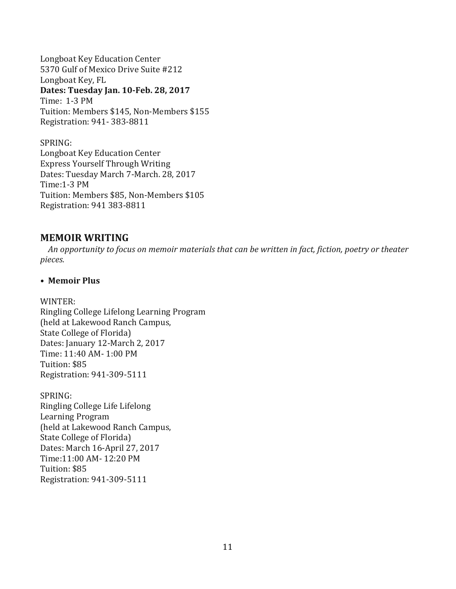Longboat Key Education Center 5370 Gulf of Mexico Drive Suite #212 Longboat Key, FL **Dates: Tuesday Jan. 10-Feb. 28, 2017** Time: 1-3 PM Tuition: Members \$145, Non-Members \$155 Registration: 941- 383-8811

SPRING: Longboat Key Education Center Express Yourself Through Writing Dates: Tuesday March 7-March. 28, 2017 Time:1-3 PM Tuition: Members \$85, Non-Members \$105 Registration: 941 383-8811

#### **MEMOIR WRITING**

 *An opportunity to focus on memoir materials that can be written in fact, fiction, poetry or theater pieces.*

#### **• Memoir Plus**

WINTER:

Ringling College Lifelong Learning Program (held at Lakewood Ranch Campus, State College of Florida) Dates: January 12-March 2, 2017 Time: 11:40 AM- 1:00 PM Tuition: \$85 Registration: 941-309-5111

SPRING: Ringling College Life Lifelong Learning Program (held at Lakewood Ranch Campus, State College of Florida) Dates: March 16-April 27, 2017 Time:11:00 AM- 12:20 PM Tuition: \$85 Registration: 941-309-5111